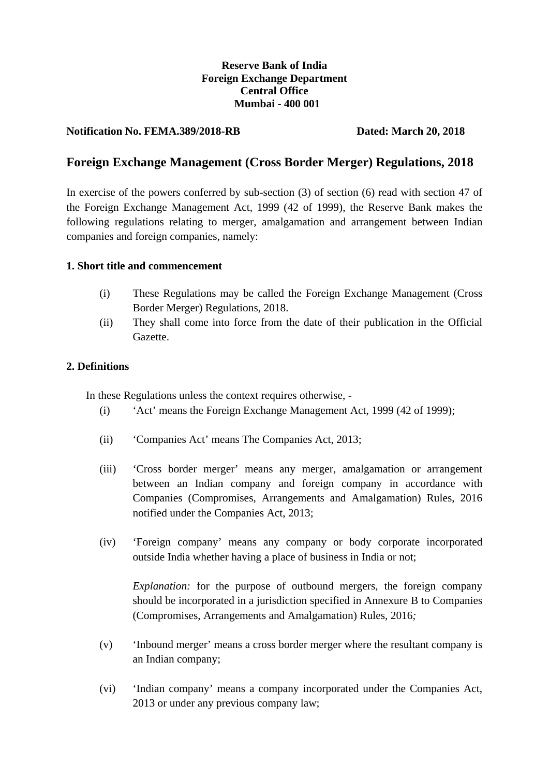## **Reserve Bank of India Foreign Exchange Department Central Office Mumbai - 400 001**

## **Notification No. FEMA.389/2018-RB Dated: March 20, 2018**

# **Foreign Exchange Management (Cross Border Merger) Regulations, 2018**

In exercise of the powers conferred by sub-section (3) of section (6) read with section 47 of the Foreign Exchange Management Act, 1999 (42 of 1999), the Reserve Bank makes the following regulations relating to merger, amalgamation and arrangement between Indian companies and foreign companies, namely:

## **1. Short title and commencement**

- (i) These Regulations may be called the Foreign Exchange Management (Cross Border Merger) Regulations, 2018.
- (ii) They shall come into force from the date of their publication in the Official Gazette.

### **2. Definitions**

In these Regulations unless the context requires otherwise, -

- (i) 'Act' means the Foreign Exchange Management Act, 1999 (42 of 1999);
- (ii) 'Companies Act' means The Companies Act, 2013;
- (iii) 'Cross border merger' means any merger, amalgamation or arrangement between an Indian company and foreign company in accordance with Companies (Compromises, Arrangements and Amalgamation) Rules, 2016 notified under the Companies Act, 2013;
- (iv) 'Foreign company' means any company or body corporate incorporated outside India whether having a place of business in India or not;

*Explanation:* for the purpose of outbound mergers, the foreign company should be incorporated in a jurisdiction specified in Annexure B to Companies (Compromises, Arrangements and Amalgamation) Rules, 2016*;*

- (v) 'Inbound merger' means a cross border merger where the resultant company is an Indian company;
- (vi) 'Indian company' means a company incorporated under the Companies Act, 2013 or under any previous company law;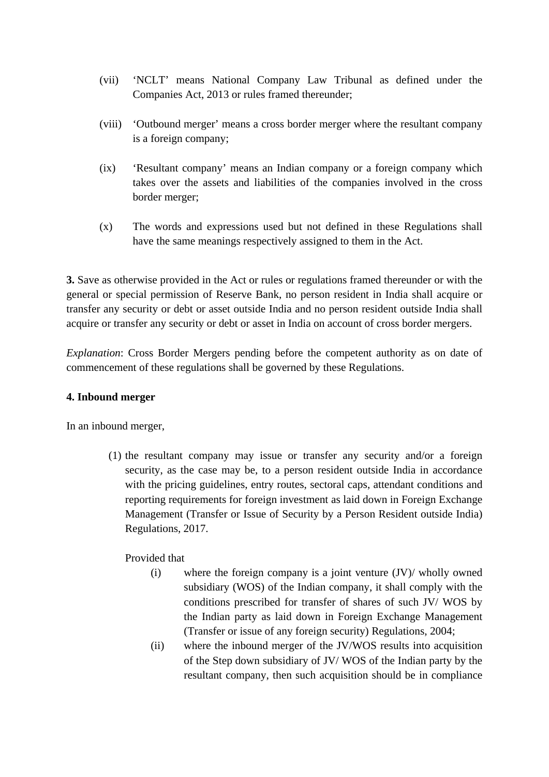- (vii) 'NCLT' means National Company Law Tribunal as defined under the Companies Act, 2013 or rules framed thereunder;
- (viii) 'Outbound merger' means a cross border merger where the resultant company is a foreign company;
- (ix) 'Resultant company' means an Indian company or a foreign company which takes over the assets and liabilities of the companies involved in the cross border merger;
- (x) The words and expressions used but not defined in these Regulations shall have the same meanings respectively assigned to them in the Act.

**3.** Save as otherwise provided in the Act or rules or regulations framed thereunder or with the general or special permission of Reserve Bank, no person resident in India shall acquire or transfer any security or debt or asset outside India and no person resident outside India shall acquire or transfer any security or debt or asset in India on account of cross border mergers.

*Explanation*: Cross Border Mergers pending before the competent authority as on date of commencement of these regulations shall be governed by these Regulations.

## **4. Inbound merger**

In an inbound merger,

(1) the resultant company may issue or transfer any security and/or a foreign security, as the case may be, to a person resident outside India in accordance with the pricing guidelines, entry routes, sectoral caps, attendant conditions and reporting requirements for foreign investment as laid down in Foreign Exchange Management (Transfer or Issue of Security by a Person Resident outside India) Regulations, 2017.

Provided that

- (i) where the foreign company is a joint venture (JV)/ wholly owned subsidiary (WOS) of the Indian company, it shall comply with the conditions prescribed for transfer of shares of such JV/ WOS by the Indian party as laid down in Foreign Exchange Management (Transfer or issue of any foreign security) Regulations, 2004;
- (ii) where the inbound merger of the JV/WOS results into acquisition of the Step down subsidiary of JV/ WOS of the Indian party by the resultant company, then such acquisition should be in compliance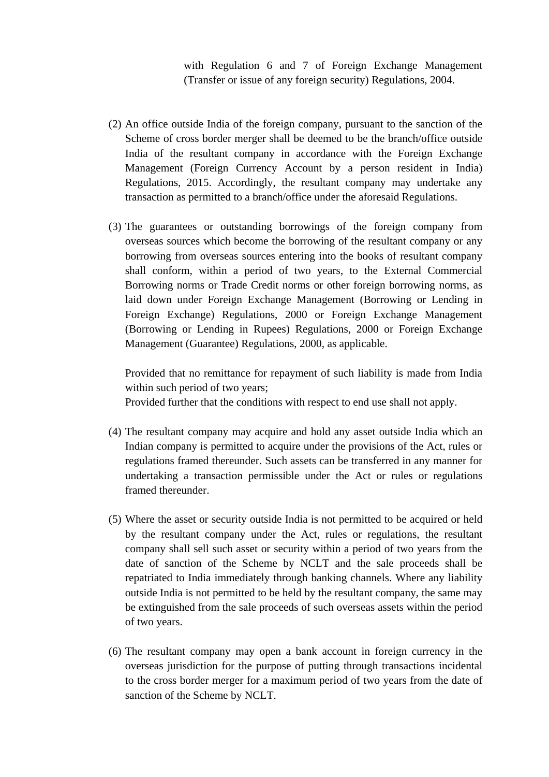with Regulation 6 and 7 of Foreign Exchange Management (Transfer or issue of any foreign security) Regulations, 2004.

- (2) An office outside India of the foreign company, pursuant to the sanction of the Scheme of cross border merger shall be deemed to be the branch/office outside India of the resultant company in accordance with the Foreign Exchange Management (Foreign Currency Account by a person resident in India) Regulations, 2015. Accordingly, the resultant company may undertake any transaction as permitted to a branch/office under the aforesaid Regulations.
- (3) The guarantees or outstanding borrowings of the foreign company from overseas sources which become the borrowing of the resultant company or any borrowing from overseas sources entering into the books of resultant company shall conform, within a period of two years, to the External Commercial Borrowing norms or Trade Credit norms or other foreign borrowing norms, as laid down under Foreign Exchange Management (Borrowing or Lending in Foreign Exchange) Regulations, 2000 or Foreign Exchange Management (Borrowing or Lending in Rupees) Regulations, 2000 or Foreign Exchange Management (Guarantee) Regulations, 2000, as applicable.

Provided that no remittance for repayment of such liability is made from India within such period of two years;

Provided further that the conditions with respect to end use shall not apply.

- (4) The resultant company may acquire and hold any asset outside India which an Indian company is permitted to acquire under the provisions of the Act, rules or regulations framed thereunder. Such assets can be transferred in any manner for undertaking a transaction permissible under the Act or rules or regulations framed thereunder.
- (5) Where the asset or security outside India is not permitted to be acquired or held by the resultant company under the Act, rules or regulations, the resultant company shall sell such asset or security within a period of two years from the date of sanction of the Scheme by NCLT and the sale proceeds shall be repatriated to India immediately through banking channels. Where any liability outside India is not permitted to be held by the resultant company, the same may be extinguished from the sale proceeds of such overseas assets within the period of two years.
- (6) The resultant company may open a bank account in foreign currency in the overseas jurisdiction for the purpose of putting through transactions incidental to the cross border merger for a maximum period of two years from the date of sanction of the Scheme by NCLT.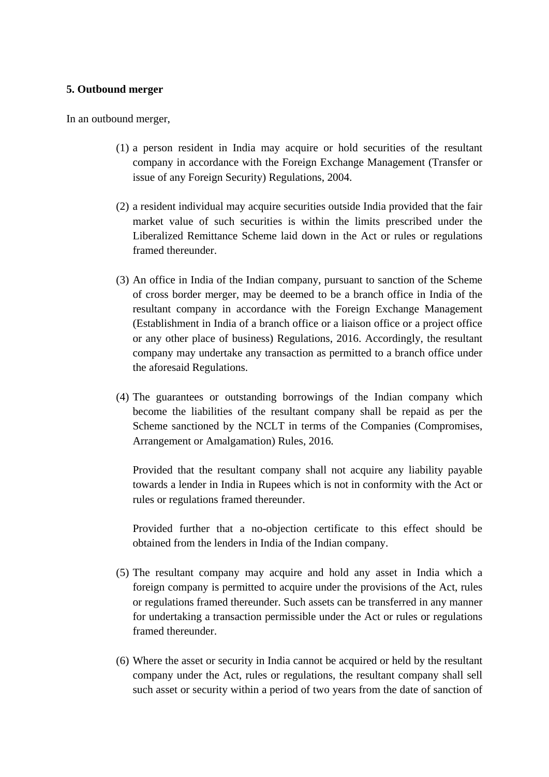#### **5. Outbound merger**

In an outbound merger,

- (1) a person resident in India may acquire or hold securities of the resultant company in accordance with the Foreign Exchange Management (Transfer or issue of any Foreign Security) Regulations, 2004.
- (2) a resident individual may acquire securities outside India provided that the fair market value of such securities is within the limits prescribed under the Liberalized Remittance Scheme laid down in the Act or rules or regulations framed thereunder.
- (3) An office in India of the Indian company, pursuant to sanction of the Scheme of cross border merger, may be deemed to be a branch office in India of the resultant company in accordance with the Foreign Exchange Management (Establishment in India of a branch office or a liaison office or a project office or any other place of business) Regulations, 2016. Accordingly, the resultant company may undertake any transaction as permitted to a branch office under the aforesaid Regulations.
- (4) The guarantees or outstanding borrowings of the Indian company which become the liabilities of the resultant company shall be repaid as per the Scheme sanctioned by the NCLT in terms of the Companies (Compromises, Arrangement or Amalgamation) Rules, 2016.

Provided that the resultant company shall not acquire any liability payable towards a lender in India in Rupees which is not in conformity with the Act or rules or regulations framed thereunder.

Provided further that a no-objection certificate to this effect should be obtained from the lenders in India of the Indian company.

- (5) The resultant company may acquire and hold any asset in India which a foreign company is permitted to acquire under the provisions of the Act, rules or regulations framed thereunder. Such assets can be transferred in any manner for undertaking a transaction permissible under the Act or rules or regulations framed thereunder.
- (6) Where the asset or security in India cannot be acquired or held by the resultant company under the Act, rules or regulations, the resultant company shall sell such asset or security within a period of two years from the date of sanction of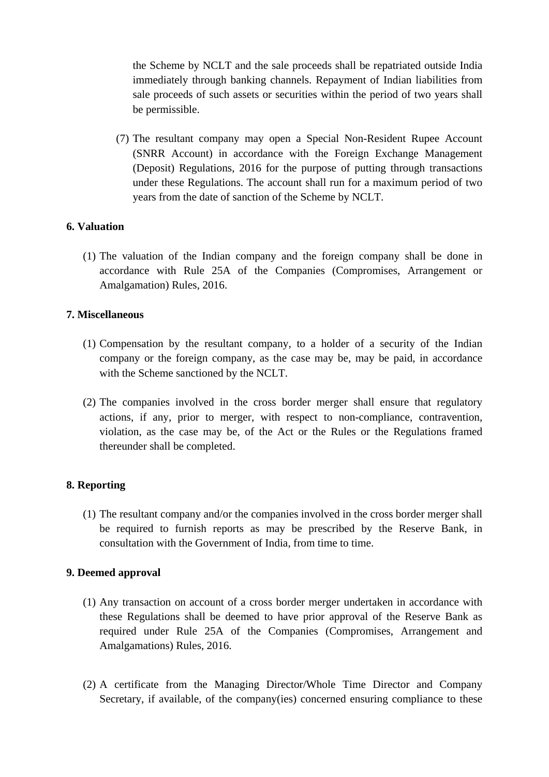the Scheme by NCLT and the sale proceeds shall be repatriated outside India immediately through banking channels. Repayment of Indian liabilities from sale proceeds of such assets or securities within the period of two years shall be permissible.

(7) The resultant company may open a Special Non-Resident Rupee Account (SNRR Account) in accordance with the Foreign Exchange Management (Deposit) Regulations, 2016 for the purpose of putting through transactions under these Regulations. The account shall run for a maximum period of two years from the date of sanction of the Scheme by NCLT.

## **6. Valuation**

(1) The valuation of the Indian company and the foreign company shall be done in accordance with Rule 25A of the Companies (Compromises, Arrangement or Amalgamation) Rules, 2016.

## **7. Miscellaneous**

- (1) Compensation by the resultant company, to a holder of a security of the Indian company or the foreign company, as the case may be, may be paid, in accordance with the Scheme sanctioned by the NCLT.
- (2) The companies involved in the cross border merger shall ensure that regulatory actions, if any, prior to merger, with respect to non-compliance, contravention, violation, as the case may be, of the Act or the Rules or the Regulations framed thereunder shall be completed.

## **8. Reporting**

(1) The resultant company and/or the companies involved in the cross border merger shall be required to furnish reports as may be prescribed by the Reserve Bank, in consultation with the Government of India, from time to time.

### **9. Deemed approval**

- (1) Any transaction on account of a cross border merger undertaken in accordance with these Regulations shall be deemed to have prior approval of the Reserve Bank as required under Rule 25A of the Companies (Compromises, Arrangement and Amalgamations) Rules, 2016.
- (2) A certificate from the Managing Director/Whole Time Director and Company Secretary, if available, of the company(ies) concerned ensuring compliance to these